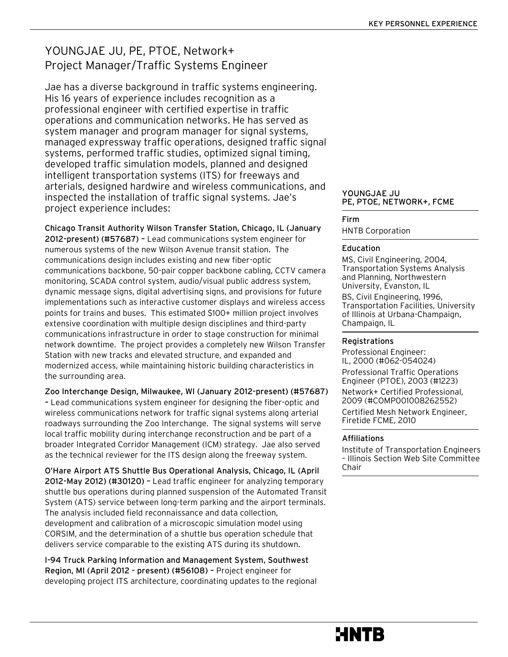### YOUNGJAE JU, PE, PTOE, Network+ Project Manager/Traffic Systems Engineer

Jae has a diverse background in traffic systems engineering. His 16 years of experience includes recognition as a professional engineer with certified expertise in traffic operations and communication networks. He has served as system manager and program manager for signal systems, managed expressway traffic operations, designed traffic signal systems, performed traffic studies, optimized signal timing, developed traffic simulation models, planned and designed intelligent transportation systems (ITS) for freeways and arterials, designed hardwire and wireless communications, and inspected the installation of traffic signal systems. Jae's project experience includes:

Chicago Transit Authority Wilson Transfer Station, Chicago, IL (January 2012-present) (#57687) – Lead communications system engineer for numerous systems of the new Wilson Avenue transit station. The communications design includes existing and new fiber-optic communications backbone, 50-pair copper backbone cabling, CCTV camera monitoring, SCADA control system, audio/visual public address system, dynamic message signs, digital advertising signs, and provisions for future implementations such as interactive customer displays and wireless access points for trains and buses. This estimated \$100+ million project involves extensive coordination with multiple design disciplines and third-party communications infrastructure in order to stage construction for minimal network downtime. The project provides a completely new Wilson Transfer Station with new tracks and elevated structure, and expanded and modernized access, while maintaining historic building characteristics in the surrounding area.

#### Zoo Interchange Design, Milwaukee, WI (January 2012-present) (#57687)

– Lead communications system engineer for designing the fiber-optic and wireless communications network for traffic signal systems along arterial roadways surrounding the Zoo Interchange. The signal systems will serve local traffic mobility during interchange reconstruction and be part of a broader Integrated Corridor Management (ICM) strategy. Jae also served as the technical reviewer for the ITS design along the freeway system.

O'Hare Airport ATS Shuttle Bus Operational Analysis, Chicago, IL (April 2012-May 2012) (#30120) – Lead traffic engineer for analyzing temporary shuttle bus operations during planned suspension of the Automated Transit System (ATS) service between long-term parking and the airport terminals. The analysis included field reconnaissance and data collection, development and calibration of a microscopic simulation model using CORSIM, and the determination of a shuttle bus operation schedule that delivers service comparable to the existing ATS during its shutdown.

I-94 Truck Parking Information and Management System, Southwest Region, MI (April 2012 - present) (#56108) – Project engineer for developing project ITS architecture, coordinating updates to the regional

#### YOUNGJAE JU PE, PTOE, NETWORK+, FCME

#### Firm

HNTB Corporation

#### Education

MS, Civil Engineering, 2004, Transportation Systems Analysis and Planning, Northwestern University, Evanston, IL

BS, Civil Engineering, 1996, Transportation Facilities, University of Illinois at Urbana-Champaign, Champaign, IL

#### Registrations

Professional Engineer: IL, 2000 (#062-054024) Professional Traffic Operations

Engineer (PTOE), 2003 (#1223)

Network+ Certified Professional, 2009 (#COMP001008262552)

Certified Mesh Network Engineer, Firetide FCME, 2010

#### Affiliations

Institute of Transportation Engineers – Illinois Section Web Site Committee Chair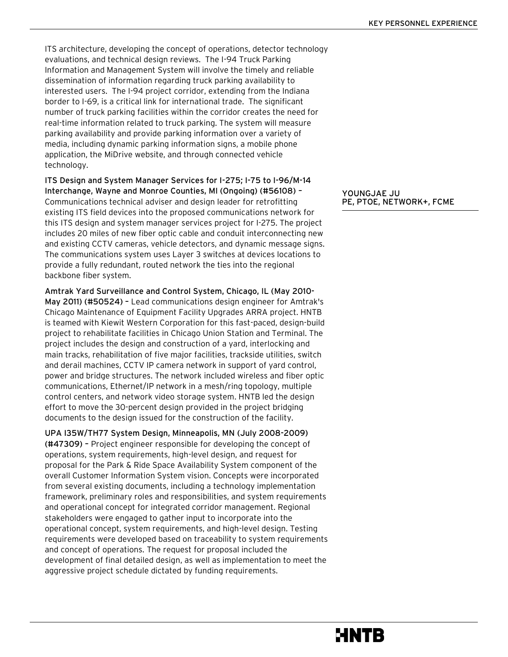ITS architecture, developing the concept of operations, detector technology evaluations, and technical design reviews. The I-94 Truck Parking Information and Management System will involve the timely and reliable dissemination of information regarding truck parking availability to interested users. The I-94 project corridor, extending from the Indiana border to I-69, is a critical link for international trade. The significant number of truck parking facilities within the corridor creates the need for real-time information related to truck parking. The system will measure parking availability and provide parking information over a variety of media, including dynamic parking information signs, a mobile phone application, the MiDrive website, and through connected vehicle technology.

ITS Design and System Manager Services for I-275; I-75 to I-96/M-14 Interchange, Wayne and Monroe Counties, MI (Ongoing) (#56108) – Communications technical adviser and design leader for retrofitting existing ITS field devices into the proposed communications network for this ITS design and system manager services project for I-275. The project includes 20 miles of new fiber optic cable and conduit interconnecting new and existing CCTV cameras, vehicle detectors, and dynamic message signs. The communications system uses Layer 3 switches at devices locations to provide a fully redundant, routed network the ties into the regional backbone fiber system.

Amtrak Yard Surveillance and Control System, Chicago, IL (May 2010- May 2011) (#50524) – Lead communications design engineer for Amtrak's Chicago Maintenance of Equipment Facility Upgrades ARRA project. HNTB is teamed with Kiewit Western Corporation for this fast-paced, design-build project to rehabilitate facilities in Chicago Union Station and Terminal. The project includes the design and construction of a yard, interlocking and main tracks, rehabilitation of five major facilities, trackside utilities, switch and derail machines, CCTV IP camera network in support of yard control, power and bridge structures. The network included wireless and fiber optic communications, Ethernet/IP network in a mesh/ring topology, multiple control centers, and network video storage system. HNTB led the design effort to move the 30-percent design provided in the project bridging documents to the design issued for the construction of the facility.

UPA I35W/TH77 System Design, Minneapolis, MN (July 2008-2009) (#47309) – Project engineer responsible for developing the concept of operations, system requirements, high-level design, and request for proposal for the Park & Ride Space Availability System component of the overall Customer Information System vision. Concepts were incorporated from several existing documents, including a technology implementation framework, preliminary roles and responsibilities, and system requirements and operational concept for integrated corridor management. Regional stakeholders were engaged to gather input to incorporate into the operational concept, system requirements, and high-level design. Testing requirements were developed based on traceability to system requirements and concept of operations. The request for proposal included the development of final detailed design, as well as implementation to meet the aggressive project schedule dictated by funding requirements.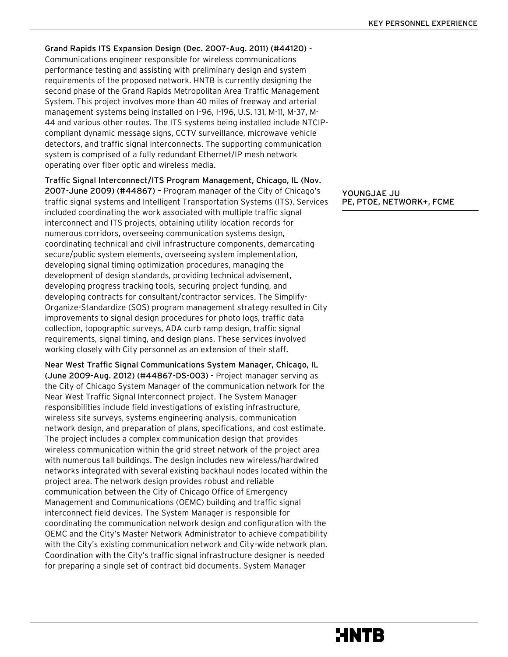Grand Rapids ITS Expansion Design (Dec. 2007-Aug. 2011) (#44120) - Communications engineer responsible for wireless communications performance testing and assisting with preliminary design and system requirements of the proposed network. HNTB is currently designing the second phase of the Grand Rapids Metropolitan Area Traffic Management System. This project involves more than 40 miles of freeway and arterial management systems being installed on I-96, I-196, U.S. 131, M-11, M-37, M-44 and various other routes. The ITS systems being installed include NTCIPcompliant dynamic message signs, CCTV surveillance, microwave vehicle detectors, and traffic signal interconnects. The supporting communication system is comprised of a fully redundant Ethernet/IP mesh network operating over fiber optic and wireless media.

Traffic Signal Interconnect/ITS Program Management, Chicago, IL (Nov. 2007-June 2009) (#44867) – Program manager of the City of Chicago's traffic signal systems and Intelligent Transportation Systems (ITS). Services included coordinating the work associated with multiple traffic signal interconnect and ITS projects, obtaining utility location records for numerous corridors, overseeing communication systems design, coordinating technical and civil infrastructure components, demarcating secure/public system elements, overseeing system implementation, developing signal timing optimization procedures, managing the development of design standards, providing technical advisement, developing progress tracking tools, securing project funding, and developing contracts for consultant/contractor services. The Simplify-Organize-Standardize (SOS) program management strategy resulted in City improvements to signal design procedures for photo logs, traffic data collection, topographic surveys, ADA curb ramp design, traffic signal requirements, signal timing, and design plans. These services involved working closely with City personnel as an extension of their staff.

Near West Traffic Signal Communications System Manager, Chicago, IL (June 2009-Aug. 2012) (#44867-DS-003) - Project manager serving as the City of Chicago System Manager of the communication network for the Near West Traffic Signal Interconnect project. The System Manager responsibilities include field investigations of existing infrastructure, wireless site surveys, systems engineering analysis, communication network design, and preparation of plans, specifications, and cost estimate. The project includes a complex communication design that provides wireless communication within the grid street network of the project area with numerous tall buildings. The design includes new wireless/hardwired networks integrated with several existing backhaul nodes located within the project area. The network design provides robust and reliable communication between the City of Chicago Office of Emergency Management and Communications (OEMC) building and traffic signal interconnect field devices. The System Manager is responsible for coordinating the communication network design and configuration with the OEMC and the City's Master Network Administrator to achieve compatibility with the City's existing communication network and City-wide network plan. Coordination with the City's traffic signal infrastructure designer is needed for preparing a single set of contract bid documents. System Manager

#### YOUNGJAE JU PE, PTOE, NETWORK+, FCME

MNTB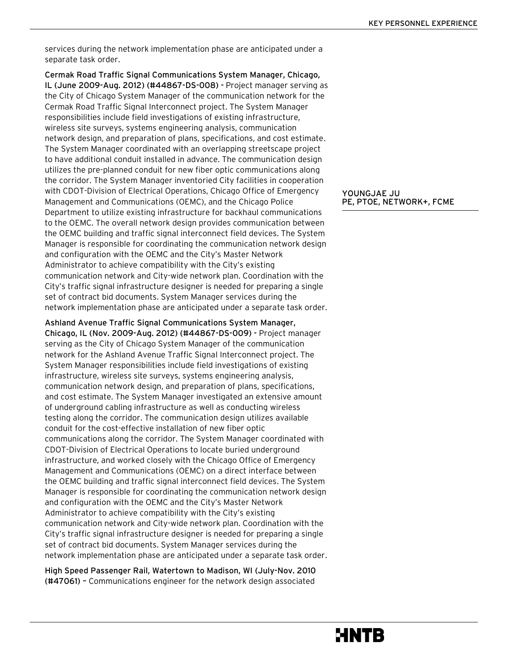services during the network implementation phase are anticipated under a separate task order.

Cermak Road Traffic Signal Communications System Manager, Chicago, IL (June 2009-Aug. 2012) (#44867-DS-008) - Project manager serving as the City of Chicago System Manager of the communication network for the Cermak Road Traffic Signal Interconnect project. The System Manager responsibilities include field investigations of existing infrastructure, wireless site surveys, systems engineering analysis, communication network design, and preparation of plans, specifications, and cost estimate. The System Manager coordinated with an overlapping streetscape project to have additional conduit installed in advance. The communication design utilizes the pre-planned conduit for new fiber optic communications along the corridor. The System Manager inventoried City facilities in cooperation with CDOT-Division of Electrical Operations, Chicago Office of Emergency Management and Communications (OEMC), and the Chicago Police Department to utilize existing infrastructure for backhaul communications to the OEMC. The overall network design provides communication between the OEMC building and traffic signal interconnect field devices. The System Manager is responsible for coordinating the communication network design and configuration with the OEMC and the City's Master Network Administrator to achieve compatibility with the City's existing communication network and City-wide network plan. Coordination with the City's traffic signal infrastructure designer is needed for preparing a single set of contract bid documents. System Manager services during the network implementation phase are anticipated under a separate task order.

Ashland Avenue Traffic Signal Communications System Manager, Chicago, IL (Nov. 2009-Aug. 2012) (#44867-DS-009) - Project manager serving as the City of Chicago System Manager of the communication network for the Ashland Avenue Traffic Signal Interconnect project. The System Manager responsibilities include field investigations of existing infrastructure, wireless site surveys, systems engineering analysis, communication network design, and preparation of plans, specifications, and cost estimate. The System Manager investigated an extensive amount of underground cabling infrastructure as well as conducting wireless testing along the corridor. The communication design utilizes available conduit for the cost-effective installation of new fiber optic communications along the corridor. The System Manager coordinated with CDOT-Division of Electrical Operations to locate buried underground infrastructure, and worked closely with the Chicago Office of Emergency Management and Communications (OEMC) on a direct interface between the OEMC building and traffic signal interconnect field devices. The System Manager is responsible for coordinating the communication network design and configuration with the OEMC and the City's Master Network Administrator to achieve compatibility with the City's existing communication network and City-wide network plan. Coordination with the City's traffic signal infrastructure designer is needed for preparing a single set of contract bid documents. System Manager services during the network implementation phase are anticipated under a separate task order.

High Speed Passenger Rail, Watertown to Madison, WI (July-Nov. 2010 (#47061) – Communications engineer for the network design associated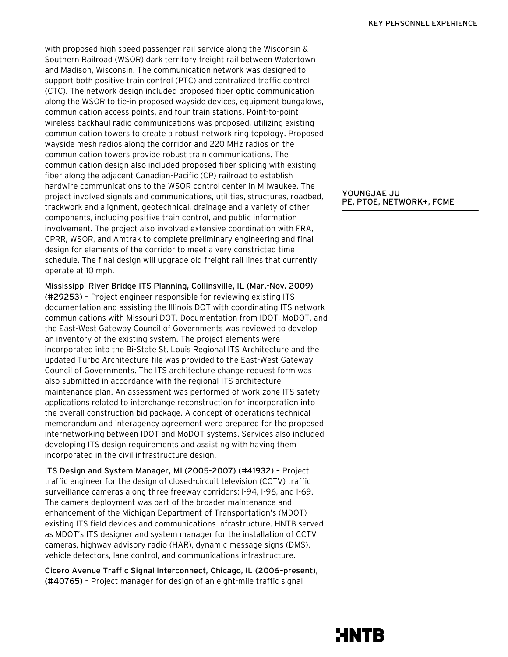with proposed high speed passenger rail service along the Wisconsin & Southern Railroad (WSOR) dark territory freight rail between Watertown and Madison, Wisconsin. The communication network was designed to support both positive train control (PTC) and centralized traffic control (CTC). The network design included proposed fiber optic communication along the WSOR to tie-in proposed wayside devices, equipment bungalows, communication access points, and four train stations. Point-to-point wireless backhaul radio communications was proposed, utilizing existing communication towers to create a robust network ring topology. Proposed wayside mesh radios along the corridor and 220 MHz radios on the communication towers provide robust train communications. The communication design also included proposed fiber splicing with existing fiber along the adjacent Canadian-Pacific (CP) railroad to establish hardwire communications to the WSOR control center in Milwaukee. The project involved signals and communications, utilities, structures, roadbed, trackwork and alignment, geotechnical, drainage and a variety of other components, including positive train control, and public information involvement. The project also involved extensive coordination with FRA, CPRR, WSOR, and Amtrak to complete preliminary engineering and final design for elements of the corridor to meet a very constricted time schedule. The final design will upgrade old freight rail lines that currently operate at 10 mph.

Mississippi River Bridge ITS Planning, Collinsville, IL (Mar.-Nov. 2009) (#29253) – Project engineer responsible for reviewing existing ITS documentation and assisting the Illinois DOT with coordinating ITS network communications with Missouri DOT. Documentation from IDOT, MoDOT, and the East-West Gateway Council of Governments was reviewed to develop an inventory of the existing system. The project elements were incorporated into the Bi-State St. Louis Regional ITS Architecture and the updated Turbo Architecture file was provided to the East-West Gateway Council of Governments. The ITS architecture change request form was also submitted in accordance with the regional ITS architecture maintenance plan. An assessment was performed of work zone ITS safety applications related to interchange reconstruction for incorporation into the overall construction bid package. A concept of operations technical memorandum and interagency agreement were prepared for the proposed internetworking between IDOT and MoDOT systems. Services also included developing ITS design requirements and assisting with having them incorporated in the civil infrastructure design.

ITS Design and System Manager, MI (2005-2007) (#41932) – Project traffic engineer for the design of closed-circuit television (CCTV) traffic surveillance cameras along three freeway corridors: I-94, I-96, and I-69. The camera deployment was part of the broader maintenance and enhancement of the Michigan Department of Transportation's (MDOT) existing ITS field devices and communications infrastructure. HNTB served as MDOT's ITS designer and system manager for the installation of CCTV cameras, highway advisory radio (HAR), dynamic message signs (DMS), vehicle detectors, lane control, and communications infrastructure.

Cicero Avenue Traffic Signal Interconnect, Chicago, IL (2006–present), (#40765) – Project manager for design of an eight-mile traffic signal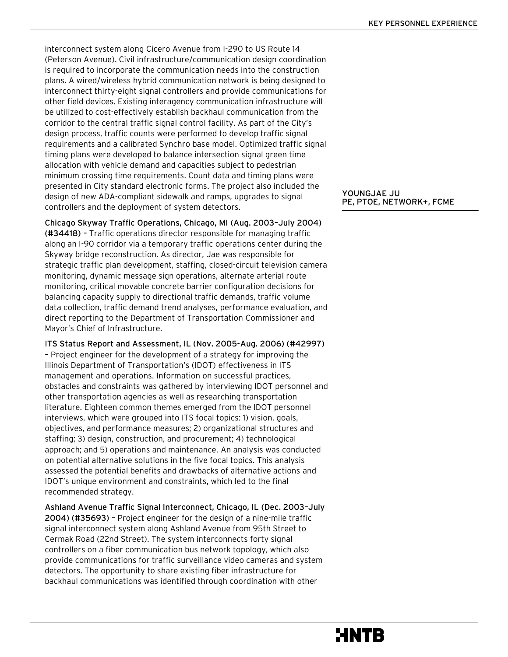interconnect system along Cicero Avenue from I-290 to US Route 14 (Peterson Avenue). Civil infrastructure/communication design coordination is required to incorporate the communication needs into the construction plans. A wired/wireless hybrid communication network is being designed to interconnect thirty-eight signal controllers and provide communications for other field devices. Existing interagency communication infrastructure will be utilized to cost-effectively establish backhaul communication from the corridor to the central traffic signal control facility. As part of the City's design process, traffic counts were performed to develop traffic signal requirements and a calibrated Synchro base model. Optimized traffic signal timing plans were developed to balance intersection signal green time allocation with vehicle demand and capacities subject to pedestrian minimum crossing time requirements. Count data and timing plans were presented in City standard electronic forms. The project also included the design of new ADA-compliant sidewalk and ramps, upgrades to signal controllers and the deployment of system detectors.

Chicago Skyway Traffic Operations, Chicago, MI (Aug. 2003–July 2004) (#34418) – Traffic operations director responsible for managing traffic along an I-90 corridor via a temporary traffic operations center during the Skyway bridge reconstruction. As director, Jae was responsible for strategic traffic plan development, staffing, closed-circuit television camera monitoring, dynamic message sign operations, alternate arterial route monitoring, critical movable concrete barrier configuration decisions for balancing capacity supply to directional traffic demands, traffic volume data collection, traffic demand trend analyses, performance evaluation, and direct reporting to the Department of Transportation Commissioner and Mayor's Chief of Infrastructure.

ITS Status Report and Assessment, IL (Nov. 2005-Aug. 2006) (#42997) – Project engineer for the development of a strategy for improving the Illinois Department of Transportation's (IDOT) effectiveness in ITS management and operations. Information on successful practices, obstacles and constraints was gathered by interviewing IDOT personnel and other transportation agencies as well as researching transportation literature. Eighteen common themes emerged from the IDOT personnel interviews, which were grouped into ITS focal topics: 1) vision, goals, objectives, and performance measures; 2) organizational structures and staffing; 3) design, construction, and procurement; 4) technological approach; and 5) operations and maintenance. An analysis was conducted on potential alternative solutions in the five focal topics. This analysis assessed the potential benefits and drawbacks of alternative actions and IDOT's unique environment and constraints, which led to the final recommended strategy.

Ashland Avenue Traffic Signal Interconnect, Chicago, IL (Dec. 2003–July 2004) (#35693) – Project engineer for the design of a nine-mile traffic signal interconnect system along Ashland Avenue from 95th Street to Cermak Road (22nd Street). The system interconnects forty signal controllers on a fiber communication bus network topology, which also provide communications for traffic surveillance video cameras and system detectors. The opportunity to share existing fiber infrastructure for backhaul communications was identified through coordination with other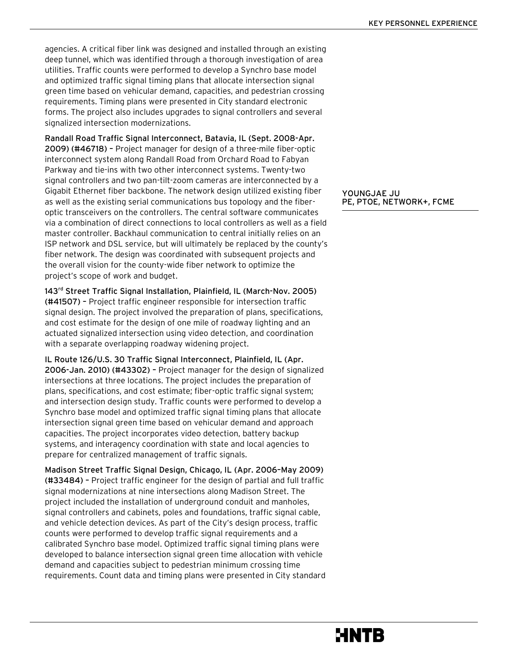agencies. A critical fiber link was designed and installed through an existing deep tunnel, which was identified through a thorough investigation of area utilities. Traffic counts were performed to develop a Synchro base model and optimized traffic signal timing plans that allocate intersection signal green time based on vehicular demand, capacities, and pedestrian crossing requirements. Timing plans were presented in City standard electronic forms. The project also includes upgrades to signal controllers and several signalized intersection modernizations.

Randall Road Traffic Signal Interconnect, Batavia, IL (Sept. 2008-Apr. 2009) (#46718) – Project manager for design of a three-mile fiber-optic interconnect system along Randall Road from Orchard Road to Fabyan Parkway and tie-ins with two other interconnect systems. Twenty-two signal controllers and two pan-tilt-zoom cameras are interconnected by a Gigabit Ethernet fiber backbone. The network design utilized existing fiber as well as the existing serial communications bus topology and the fiberoptic transceivers on the controllers. The central software communicates via a combination of direct connections to local controllers as well as a field master controller. Backhaul communication to central initially relies on an ISP network and DSL service, but will ultimately be replaced by the county's fiber network. The design was coordinated with subsequent projects and the overall vision for the county-wide fiber network to optimize the project's scope of work and budget.

143<sup>rd</sup> Street Traffic Signal Installation, Plainfield, IL (March-Nov. 2005) (#41507) – Project traffic engineer responsible for intersection traffic signal design. The project involved the preparation of plans, specifications, and cost estimate for the design of one mile of roadway lighting and an actuated signalized intersection using video detection, and coordination with a separate overlapping roadway widening project.

IL Route 126/U.S. 30 Traffic Signal Interconnect, Plainfield, IL (Apr. 2006-Jan. 2010) (#43302) – Project manager for the design of signalized intersections at three locations. The project includes the preparation of plans, specifications, and cost estimate; fiber-optic traffic signal system; and intersection design study. Traffic counts were performed to develop a Synchro base model and optimized traffic signal timing plans that allocate intersection signal green time based on vehicular demand and approach capacities. The project incorporates video detection, battery backup systems, and interagency coordination with state and local agencies to prepare for centralized management of traffic signals.

Madison Street Traffic Signal Design, Chicago, IL (Apr. 2006–May 2009) (#33484) – Project traffic engineer for the design of partial and full traffic signal modernizations at nine intersections along Madison Street. The project included the installation of underground conduit and manholes, signal controllers and cabinets, poles and foundations, traffic signal cable, and vehicle detection devices. As part of the City's design process, traffic counts were performed to develop traffic signal requirements and a calibrated Synchro base model. Optimized traffic signal timing plans were developed to balance intersection signal green time allocation with vehicle demand and capacities subject to pedestrian minimum crossing time requirements. Count data and timing plans were presented in City standard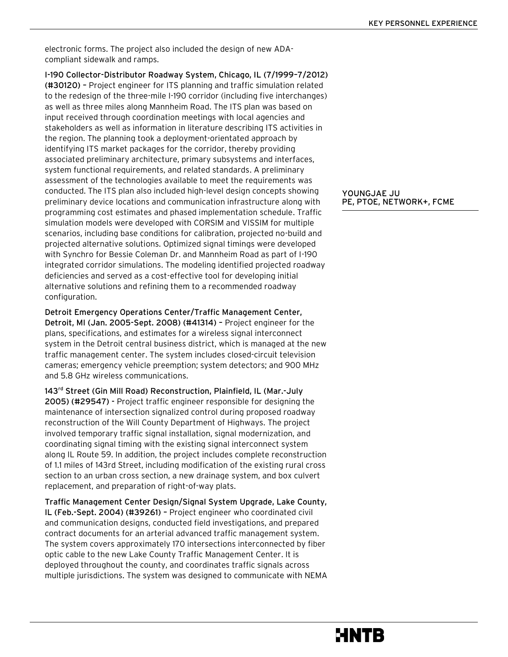electronic forms. The project also included the design of new ADAcompliant sidewalk and ramps.

I-190 Collector-Distributor Roadway System, Chicago, IL (7/1999–7/2012) (#30120) – Project engineer for ITS planning and traffic simulation related to the redesign of the three-mile I-190 corridor (including five interchanges) as well as three miles along Mannheim Road. The ITS plan was based on input received through coordination meetings with local agencies and stakeholders as well as information in literature describing ITS activities in the region. The planning took a deployment-orientated approach by identifying ITS market packages for the corridor, thereby providing associated preliminary architecture, primary subsystems and interfaces, system functional requirements, and related standards. A preliminary assessment of the technologies available to meet the requirements was conducted. The ITS plan also included high-level design concepts showing preliminary device locations and communication infrastructure along with programming cost estimates and phased implementation schedule. Traffic simulation models were developed with CORSIM and VISSIM for multiple scenarios, including base conditions for calibration, projected no-build and projected alternative solutions. Optimized signal timings were developed with Synchro for Bessie Coleman Dr. and Mannheim Road as part of I-190 integrated corridor simulations. The modeling identified projected roadway deficiencies and served as a cost-effective tool for developing initial alternative solutions and refining them to a recommended roadway configuration.

Detroit Emergency Operations Center/Traffic Management Center, Detroit, MI (Jan. 2005-Sept. 2008) (#41314) – Project engineer for the plans, specifications, and estimates for a wireless signal interconnect system in the Detroit central business district, which is managed at the new traffic management center. The system includes closed-circuit television cameras; emergency vehicle preemption; system detectors; and 900 MHz and 5.8 GHz wireless communications.

143<sup>rd</sup> Street (Gin Mill Road) Reconstruction, Plainfield, IL (Mar.-July 2005) (#29547) - Project traffic engineer responsible for designing the maintenance of intersection signalized control during proposed roadway reconstruction of the Will County Department of Highways. The project involved temporary traffic signal installation, signal modernization, and coordinating signal timing with the existing signal interconnect system along IL Route 59. In addition, the project includes complete reconstruction of 1.1 miles of 143rd Street, including modification of the existing rural cross section to an urban cross section, a new drainage system, and box culvert replacement, and preparation of right-of-way plats.

Traffic Management Center Design/Signal System Upgrade, Lake County, IL (Feb.-Sept. 2004) (#39261) – Project engineer who coordinated civil and communication designs, conducted field investigations, and prepared contract documents for an arterial advanced traffic management system. The system covers approximately 170 intersections interconnected by fiber optic cable to the new Lake County Traffic Management Center. It is deployed throughout the county, and coordinates traffic signals across multiple jurisdictions. The system was designed to communicate with NEMA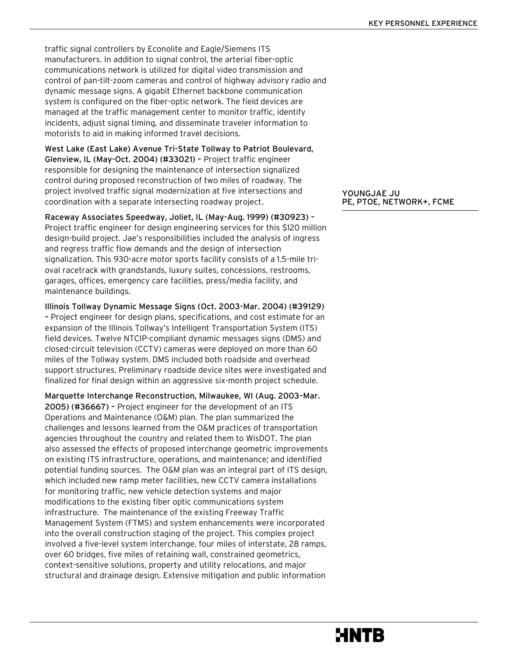traffic signal controllers by Econolite and Eagle/Siemens ITS manufacturers. In addition to signal control, the arterial fiber-optic communications network is utilized for digital video transmission and control of pan-tilt-zoom cameras and control of highway advisory radio and dynamic message signs. A gigabit Ethernet backbone communication system is configured on the fiber-optic network. The field devices are managed at the traffic management center to monitor traffic, identify incidents, adjust signal timing, and disseminate traveler information to motorists to aid in making informed travel decisions.

West Lake (East Lake) Avenue Tri-State Tollway to Patriot Boulevard, Glenview, IL (May-Oct. 2004) (#33021) – Project traffic engineer responsible for designing the maintenance of intersection signalized control during proposed reconstruction of two miles of roadway. The project involved traffic signal modernization at five intersections and coordination with a separate intersecting roadway project.

Raceway Associates Speedway, Joliet, IL (May-Aug. 1999) (#30923) – Project traffic engineer for design engineering services for this \$120 million design-build project. Jae's responsibilities included the analysis of ingress and regress traffic flow demands and the design of intersection signalization. This 930-acre motor sports facility consists of a 1.5-mile trioval racetrack with grandstands, luxury suites, concessions, restrooms, garages, offices, emergency care facilities, press/media facility, and maintenance buildings.

Illinois Tollway Dynamic Message Signs (Oct. 2003-Mar. 2004) (#39129) – Project engineer for design plans, specifications, and cost estimate for an expansion of the Illinois Tollway's Intelligent Transportation System (ITS) field devices. Twelve NTCIP-compliant dynamic messages signs (DMS) and closed-circuit television (CCTV) cameras were deployed on more than 60 miles of the Tollway system. DMS included both roadside and overhead support structures. Preliminary roadside device sites were investigated and finalized for final design within an aggressive six-month project schedule.

Marquette Interchange Reconstruction, Milwaukee, WI (Aug. 2003–Mar. 2005) (#36667) – Project engineer for the development of an ITS Operations and Maintenance (O&M) plan. The plan summarized the challenges and lessons learned from the O&M practices of transportation agencies throughout the country and related them to WisDOT. The plan also assessed the effects of proposed interchange geometric improvements on existing ITS infrastructure, operations, and maintenance; and identified potential funding sources. The O&M plan was an integral part of ITS design, which included new ramp meter facilities, new CCTV camera installations for monitoring traffic, new vehicle detection systems and major modifications to the existing fiber optic communications system infrastructure. The maintenance of the existing Freeway Traffic Management System (FTMS) and system enhancements were incorporated into the overall construction staging of the project. This complex project involved a five-level system interchange, four miles of interstate, 28 ramps, over 60 bridges, five miles of retaining wall, constrained geometrics, context-sensitive solutions, property and utility relocations, and major structural and drainage design. Extensive mitigation and public information

YOUNGJAE JU PE, PTOE, NETWORK+, FCME

# MNTB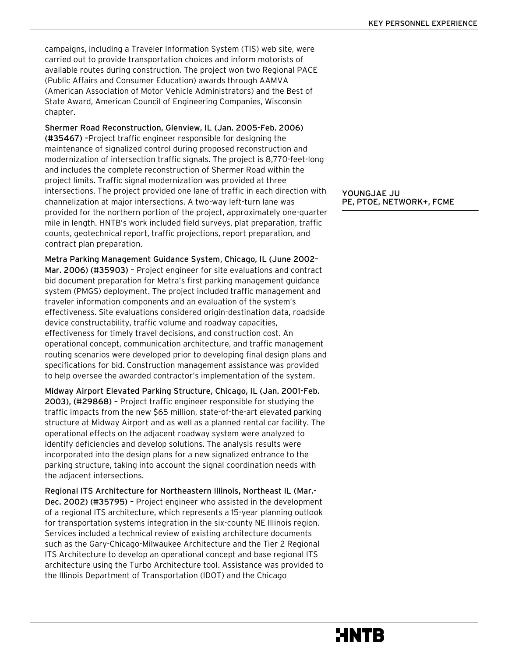campaigns, including a Traveler Information System (TIS) web site, were carried out to provide transportation choices and inform motorists of available routes during construction. The project won two Regional PACE (Public Affairs and Consumer Education) awards through AAMVA (American Association of Motor Vehicle Administrators) and the Best of State Award, American Council of Engineering Companies, Wisconsin chapter.

Shermer Road Reconstruction, Glenview, IL (Jan. 2005-Feb. 2006) (#35467) –Project traffic engineer responsible for designing the maintenance of signalized control during proposed reconstruction and modernization of intersection traffic signals. The project is 8,770-feet-long and includes the complete reconstruction of Shermer Road within the project limits. Traffic signal modernization was provided at three intersections. The project provided one lane of traffic in each direction with channelization at major intersections. A two-way left-turn lane was provided for the northern portion of the project, approximately one-quarter mile in length. HNTB's work included field surveys, plat preparation, traffic counts, geotechnical report, traffic projections, report preparation, and contract plan preparation.

Metra Parking Management Guidance System, Chicago, IL (June 2002– Mar. 2006) (#35903) – Project engineer for site evaluations and contract bid document preparation for Metra's first parking management guidance system (PMGS) deployment. The project included traffic management and traveler information components and an evaluation of the system's effectiveness. Site evaluations considered origin-destination data, roadside device constructability, traffic volume and roadway capacities, effectiveness for timely travel decisions, and construction cost. An operational concept, communication architecture, and traffic management routing scenarios were developed prior to developing final design plans and specifications for bid. Construction management assistance was provided to help oversee the awarded contractor's implementation of the system.

Midway Airport Elevated Parking Structure, Chicago, IL (Jan. 2001-Feb. 2003), (#29868) – Project traffic engineer responsible for studying the traffic impacts from the new \$65 million, state-of-the-art elevated parking structure at Midway Airport and as well as a planned rental car facility. The operational effects on the adjacent roadway system were analyzed to identify deficiencies and develop solutions. The analysis results were incorporated into the design plans for a new signalized entrance to the parking structure, taking into account the signal coordination needs with the adjacent intersections.

Regional ITS Architecture for Northeastern Illinois, Northeast IL (Mar.- Dec. 2002) (#35795) – Project engineer who assisted in the development of a regional ITS architecture, which represents a 15-year planning outlook for transportation systems integration in the six-county NE Illinois region. Services included a technical review of existing architecture documents such as the Gary-Chicago-Milwaukee Architecture and the Tier 2 Regional ITS Architecture to develop an operational concept and base regional ITS architecture using the Turbo Architecture tool. Assistance was provided to the Illinois Department of Transportation (IDOT) and the Chicago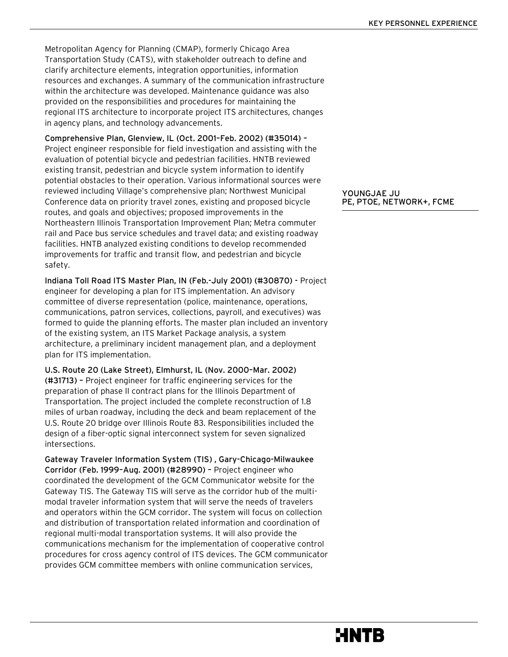Metropolitan Agency for Planning (CMAP), formerly Chicago Area Transportation Study (CATS), with stakeholder outreach to define and clarify architecture elements, integration opportunities, information resources and exchanges. A summary of the communication infrastructure within the architecture was developed. Maintenance guidance was also provided on the responsibilities and procedures for maintaining the regional ITS architecture to incorporate project ITS architectures, changes in agency plans, and technology advancements.

Comprehensive Plan, Glenview, IL (Oct. 2001–Feb. 2002) (#35014) – Project engineer responsible for field investigation and assisting with the evaluation of potential bicycle and pedestrian facilities. HNTB reviewed existing transit, pedestrian and bicycle system information to identify potential obstacles to their operation. Various informational sources were reviewed including Village's comprehensive plan; Northwest Municipal Conference data on priority travel zones, existing and proposed bicycle routes, and goals and objectives; proposed improvements in the Northeastern Illinois Transportation Improvement Plan; Metra commuter rail and Pace bus service schedules and travel data; and existing roadway facilities. HNTB analyzed existing conditions to develop recommended improvements for traffic and transit flow, and pedestrian and bicycle safety.

Indiana Toll Road ITS Master Plan, IN (Feb.-July 2001) (#30870) - Project engineer for developing a plan for ITS implementation. An advisory committee of diverse representation (police, maintenance, operations, communications, patron services, collections, payroll, and executives) was formed to guide the planning efforts. The master plan included an inventory of the existing system, an ITS Market Package analysis, a system architecture, a preliminary incident management plan, and a deployment plan for ITS implementation.

U.S. Route 20 (Lake Street), Elmhurst, IL (Nov. 2000–Mar. 2002) (#31713) – Project engineer for traffic engineering services for the preparation of phase II contract plans for the Illinois Department of Transportation. The project included the complete reconstruction of 1.8 miles of urban roadway, including the deck and beam replacement of the U.S. Route 20 bridge over Illinois Route 83. Responsibilities included the design of a fiber-optic signal interconnect system for seven signalized intersections.

Gateway Traveler Information System (TIS) , Gary-Chicago-Milwaukee Corridor (Feb. 1999–Aug. 2001) (#28990) – Project engineer who coordinated the development of the GCM Communicator website for the Gateway TIS. The Gateway TIS will serve as the corridor hub of the multimodal traveler information system that will serve the needs of travelers and operators within the GCM corridor. The system will focus on collection and distribution of transportation related information and coordination of regional multi-modal transportation systems. It will also provide the communications mechanism for the implementation of cooperative control procedures for cross agency control of ITS devices. The GCM communicator provides GCM committee members with online communication services,

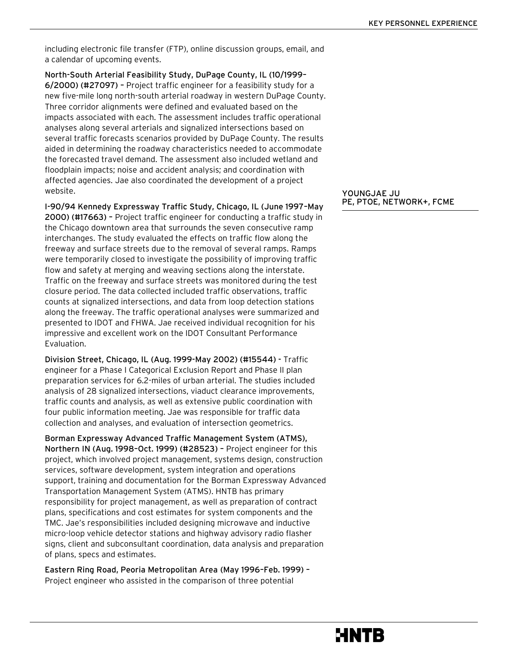including electronic file transfer (FTP), online discussion groups, email, and a calendar of upcoming events.

North-South Arterial Feasibility Study, DuPage County, IL (10/1999– 6/2000) (#27097) – Project traffic engineer for a feasibility study for a new five-mile long north-south arterial roadway in western DuPage County. Three corridor alignments were defined and evaluated based on the impacts associated with each. The assessment includes traffic operational analyses along several arterials and signalized intersections based on several traffic forecasts scenarios provided by DuPage County. The results aided in determining the roadway characteristics needed to accommodate the forecasted travel demand. The assessment also included wetland and floodplain impacts; noise and accident analysis; and coordination with affected agencies. Jae also coordinated the development of a project website.

I-90/94 Kennedy Expressway Traffic Study, Chicago, IL (June 1997–May 2000) (#17663) – Project traffic engineer for conducting a traffic study in the Chicago downtown area that surrounds the seven consecutive ramp interchanges. The study evaluated the effects on traffic flow along the freeway and surface streets due to the removal of several ramps. Ramps were temporarily closed to investigate the possibility of improving traffic flow and safety at merging and weaving sections along the interstate. Traffic on the freeway and surface streets was monitored during the test closure period. The data collected included traffic observations, traffic counts at signalized intersections, and data from loop detection stations along the freeway. The traffic operational analyses were summarized and presented to IDOT and FHWA. Jae received individual recognition for his impressive and excellent work on the IDOT Consultant Performance Evaluation.

Division Street, Chicago, IL (Aug. 1999-May 2002) (#15544) - Traffic engineer for a Phase I Categorical Exclusion Report and Phase II plan preparation services for 6.2-miles of urban arterial. The studies included analysis of 28 signalized intersections, viaduct clearance improvements, traffic counts and analysis, as well as extensive public coordination with four public information meeting. Jae was responsible for traffic data collection and analyses, and evaluation of intersection geometrics.

Borman Expressway Advanced Traffic Management System (ATMS), Northern IN (Aug. 1998–Oct. 1999) (#28523) – Project engineer for this project, which involved project management, systems design, construction services, software development, system integration and operations support, training and documentation for the Borman Expressway Advanced Transportation Management System (ATMS). HNTB has primary responsibility for project management, as well as preparation of contract plans, specifications and cost estimates for system components and the TMC. Jae's responsibilities included designing microwave and inductive micro-loop vehicle detector stations and highway advisory radio flasher signs, client and subconsultant coordination, data analysis and preparation of plans, specs and estimates.

Eastern Ring Road, Peoria Metropolitan Area (May 1996–Feb. 1999) – Project engineer who assisted in the comparison of three potential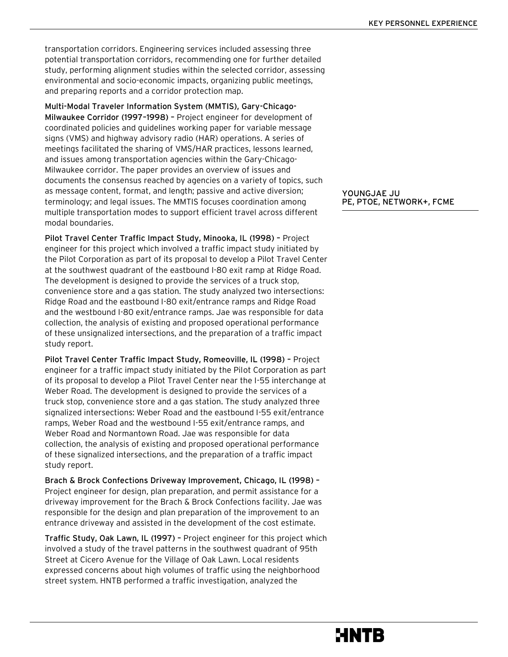transportation corridors. Engineering services included assessing three potential transportation corridors, recommending one for further detailed study, performing alignment studies within the selected corridor, assessing environmental and socio-economic impacts, organizing public meetings, and preparing reports and a corridor protection map.

Multi-Modal Traveler Information System (MMTIS), Gary-Chicago-Milwaukee Corridor (1997–1998) – Project engineer for development of coordinated policies and guidelines working paper for variable message signs (VMS) and highway advisory radio (HAR) operations. A series of meetings facilitated the sharing of VMS/HAR practices, lessons learned, and issues among transportation agencies within the Gary-Chicago-Milwaukee corridor. The paper provides an overview of issues and documents the consensus reached by agencies on a variety of topics, such as message content, format, and length; passive and active diversion; terminology; and legal issues. The MMTIS focuses coordination among multiple transportation modes to support efficient travel across different modal boundaries.

Pilot Travel Center Traffic Impact Study, Minooka, IL (1998) – Project engineer for this project which involved a traffic impact study initiated by the Pilot Corporation as part of its proposal to develop a Pilot Travel Center at the southwest quadrant of the eastbound I-80 exit ramp at Ridge Road. The development is designed to provide the services of a truck stop, convenience store and a gas station. The study analyzed two intersections: Ridge Road and the eastbound I-80 exit/entrance ramps and Ridge Road and the westbound I-80 exit/entrance ramps. Jae was responsible for data collection, the analysis of existing and proposed operational performance of these unsignalized intersections, and the preparation of a traffic impact study report.

Pilot Travel Center Traffic Impact Study, Romeoville, IL (1998) – Project engineer for a traffic impact study initiated by the Pilot Corporation as part of its proposal to develop a Pilot Travel Center near the I-55 interchange at Weber Road. The development is designed to provide the services of a truck stop, convenience store and a gas station. The study analyzed three signalized intersections: Weber Road and the eastbound I-55 exit/entrance ramps, Weber Road and the westbound I-55 exit/entrance ramps, and Weber Road and Normantown Road. Jae was responsible for data collection, the analysis of existing and proposed operational performance of these signalized intersections, and the preparation of a traffic impact study report.

Brach & Brock Confections Driveway Improvement, Chicago, IL (1998) – Project engineer for design, plan preparation, and permit assistance for a driveway improvement for the Brach & Brock Confections facility. Jae was responsible for the design and plan preparation of the improvement to an entrance driveway and assisted in the development of the cost estimate.

Traffic Study, Oak Lawn, IL (1997) – Project engineer for this project which involved a study of the travel patterns in the southwest quadrant of 95th Street at Cicero Avenue for the Village of Oak Lawn. Local residents expressed concerns about high volumes of traffic using the neighborhood street system. HNTB performed a traffic investigation, analyzed the